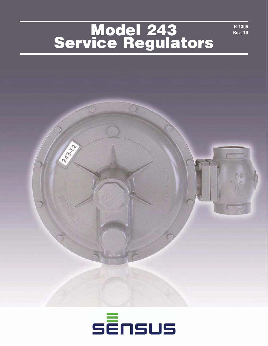## **Model 243 Service Regulators**

**R-1306 Rev. 10**



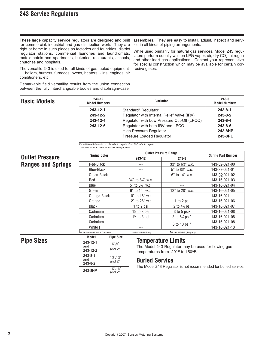#### **243 Service Regulators**

These large capacity service regulators are designed and built for commercial, industrial and gas distribution work. They are right at home in such places as factories and foundries, district regulator stations, commercial laundries and laundromats, motels-hotels and apartments, bakeries, restaurants, schools, churches and hospitals.

The versatile 243 is used for all kinds of gas fueled equipment . . .boilers, burners, furnaces, ovens, heaters, kilns, engines, air conditioners, etc.

Remarkable field versatility results from the union connection between the fully interchangeable bodies and diaphragm-case

assemblies. They are easy to install, adjust, inspect and service in all kinds of piping arrangements.

While used primarily for natural gas services, Model 243 regulators perform equally well on LPG vapor, air, dry CO<sub>2</sub>, nitrogen and other inert gas applications. Contact your representative for special construction which may be available for certain corrosive gases.

**Spring Part Number** 

143-82-021-00 143-82-021-01 143-82-021-02 143-16-021-03 143-16-021-04 143-16-021-05 143-16-021-11 143-16-021-06 143-16-021-07 143-16-021-08 143-16-021-08 143-16-021-08 143-16-021-13

| <b>Basic Models</b> | 243-12<br><b>Model Numbers</b> | <b>Variation</b>                           | $243 - 8$<br><b>Model Numbers</b> |  |
|---------------------|--------------------------------|--------------------------------------------|-----------------------------------|--|
|                     | 243-12-1                       | Standard* Regulator                        | $243 - 8 - 1$                     |  |
|                     | 243-12-2                       | Regulator with Internal Relief Valve (IRV) | 243-8-2                           |  |
|                     | 243-12-4                       | Regulator with Low Pressure Cut-Off (LPCO) | $243 - 8 - 4$                     |  |
|                     | 243-12-6                       | Regulator with both IRV and LPCO           | $243 - 8 - 6$                     |  |
|                     |                                | <b>High Pressure Regulator</b>             | 243-8HP                           |  |
|                     |                                | Pressure Loaded Regulator                  | 243-8PL                           |  |

For additional information on IRV refer to page 5. For LPCO refer to page 6

\*The term standard refers to non-IRV configurations.

#### **Outlet Pressure Ranges and Springs Spring Color 243-12 243-8**<br>243-8 **243-8** Red-Black Blue-Black Green-Black Red Blue Green Orange-Black **Orange** Black Cadmium Cadmium --- --- --- 31 ⁄2" to 61 ⁄2" w.c. 5" to 8½" w.c. 6" to 14" w.c. 10" to 18" w.c. 12" to 28" w.c. 1 to 2 psi 11 ⁄2 to 3 psi 11 ⁄2 to 3 psi 31 ⁄2" to 61 ⁄2" w.c. 5" to 81 ⁄2" w.c. 6" to 14" w.c. --- --- 12" to 28" w.c. --- 1 to 2 psi 2 to 41 ⁄2 psi 3 to 5 psi◆ 3 to 61 ⁄2 psi\*

**Pipe Sizes**

| Model                           | <b>Pipe Size</b>                            |
|---------------------------------|---------------------------------------------|
| 243-12-1<br>and<br>243-12-2     | $1\frac{1}{2}$ , $\frac{1}{2}$<br>and $2"$  |
| $243 - 8 - 1$<br>and<br>243-8-2 | $1\frac{1}{2}$ , $1\frac{1}{2}$<br>and $2"$ |
| 243-8HP                         | $1\frac{1}{2}$ , $1\frac{1}{2}$<br>and $2"$ |

Cadmium White t

#### **Temperature Limits**

The Model 243 Regulator may be used for flowing gas temperatures from -20°F to 150°F.

6 to 10 psi\*

#### **Buried Service**

--- ---

t<br>Twhite is nested inside Cadmium \*Model 243-8HP only <a>
\*Model 243-8-2 (IRV) only.

The Model 243 Regulator is not recommended for buried service.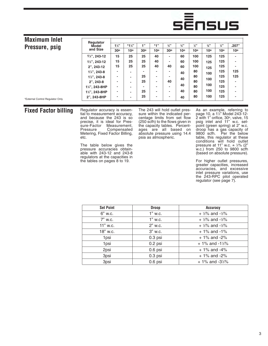# sĒnsus

| <b>Maximum Inlet</b>             | Regulator                                |                |                          |         |                          |     |                 |               |               |               |              |
|----------------------------------|------------------------------------------|----------------|--------------------------|---------|--------------------------|-----|-----------------|---------------|---------------|---------------|--------------|
| Pressure, psig                   | Model                                    | $1\frac{1}{3}$ | $*1\frac{1}{4}$          | $-1.22$ | $*1"$                    | 3/3 | $\frac{3}{4}$ " | $\frac{1}{2}$ | $\frac{3}{8}$ | $\frac{1}{4}$ | .207"        |
|                                  | and Size                                 | 30°            | 10°                      | 30°     | 10°                      | 30° | $10^{\circ}$    | 10°           | 10°           | 10°           | $10^{\circ}$ |
|                                  | $1\frac{1}{4}$ , 243-12                  | 15             | 25                       | 25      | 40                       |     | 60              | 100           | 125           | 125           | ٠            |
|                                  | 1½", 243-12                              | 15             | 25                       | 25      | 40                       |     | 60              | 100           | 125           | 125           | ٠            |
|                                  | 2", 243-12                               | 15             | 25                       | 25      | 40                       | 40  | 60              | 100           | 125           | 125           | ٠            |
|                                  | $1\frac{1}{4}$ , 243-8                   | -              | $\overline{\phantom{a}}$ |         | $\overline{\phantom{a}}$ |     | 40              | 80            | 100           | 125           | 125          |
|                                  | $1\frac{1}{2}$ , 243-8                   | -              | $\overline{\phantom{a}}$ | 25      | ٠                        |     | 40              | 80            | 100           | 125           | 125          |
|                                  | $2"$ , 243-8                             | -              | $\overline{\phantom{a}}$ | 25      | ٠                        | 40  | 80              |               |               | 125           | ٠            |
|                                  | 1 <sup>1</sup> / <sub>4</sub> ", 243-8HP | ۰              | $\overline{\phantom{a}}$ |         | -                        |     | 40              | 80            | 100           | 125           | ٠            |
|                                  | 1%", 243-8HP                             | ۰              | $\blacksquare$           | 25      | -                        | ۰   | 40              | 80            | 100           | 125           | ٠            |
| *External Control Regulator Only | 2", 243-8HP                              | ٠              | ٠                        | 25      | ٠                        |     | 40              | 80            | 100           | 125           | ٠            |

#### **Fixed Factor billing**

Regulator accuracy is essential to measurement accuracy, and because the 243 is so precise, it is ideal for Pressure-Factor Measurement,<br>Pressure Compensated Compensated Metering, Fixed Factor Billing, etc.

The table below gives the pressure accuracies obtainable with 243-12 and 243-8 regulators at the capacities in the tables on pages 8 to 19.

The 243 will hold outlet pressure within the indicated percentage limits from set flow (250 scfh) to the flows given in the capacity tables. Percentages are all based on absolute pressure using 14.4 psia as atmospheric.

As an example, referring to page 10, a 11 ⁄2" Model 243-12- 2 with 1" orifice, 30°, valve, 15 psig inlet and 11" w.c. setpoint (green spring) at 2" w.c. droop has a gas capacity of 9800 scfh. Per the below table, this regulator at these conditions will hold outlet pressure at 11" w.c.  $\pm$  1/2% (2" w.c.) from 250 to 9800 scfh (based on absolute pressure).

For higher outlet pressures, greater capacities, increased accuracies, and excessive inlet pressure variations, use the 243-RPC pilot operated regulator (see page 7).

| <b>Set Point</b> | <b>Droop</b> | <b>Accuracy</b>                        |
|------------------|--------------|----------------------------------------|
| $6"$ w.c.        | 1" w.c.      | + $\frac{1}{2}\%$ and $-\frac{1}{2}\%$ |
| 7" w.c.          | 1" w.c.      | + $\frac{1}{2}\%$ and $-\frac{1}{2}\%$ |
| 11" w.c.         | 2" w.c.      | $+$ ½% and -½%                         |
| 18" w.c.         | $3"$ w.c.    | $+1\%$ and -1%                         |
| 1psi             | $0.3$ psi    | $+1\%$ and $-2\%$                      |
| 1psi             | $0.2$ psi    | $+1\%$ and $-1\frac{1}{2}\%$           |
| 2psi             | $0.6$ psi    | $+1\%$ and $-4\%$                      |
| 3psi             | $0.3$ psi    | $+1\%$ and $-2\%$                      |
| 3psi             | $0.6$ psi    | $+1\%$ and $-3\frac{1}{2}\%$           |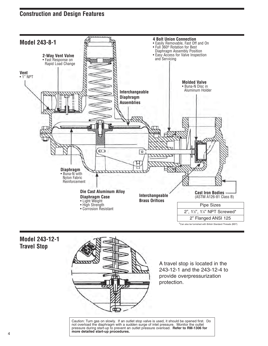### **Construction and Design Features**



**Model 243-12-1 Travel Stop**



A travel stop is located in the 243-12-1 and the 243-12-4 to provide overpressurization protection.

Caution: Turn gas on slowly. If an outlet stop valve is used, it should be opened first. Do not overload the diaphragm with a sudden surge of inlet pressure. Monitor the outlet pressure during start-up to prevent an outlet pressure overload. **Refer to RM-1306 for more detailed start-up procedures.**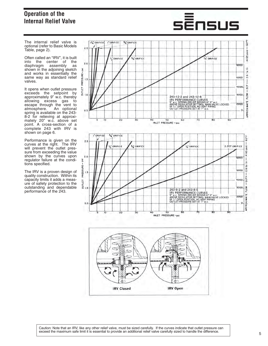### **Operation of the Internal Relief Valve**

The internal relief valve is optional (refer to Basic Models Table, page 2).

Often called an "IRV", it is built into the center of the diaphragm assembly as shown in the adjoining sketch and works in essentially the same way as standard relief valves.

It opens when outlet pressure exceeds the setpoint by approximately 9" w.c. thereby allowing excess gas to escape through the vent to atmosphere. An optional spring is available on the 243- 8-2 for relieving at approximately 20" w.c. above set point. A cross-section of a complete 243 with IRV is shown on page 6.

Performance is given on the curves at the right. The IRV will prevent the outlet pressure from exceeding the value shown by the curves upon regulator failure at the conditions specified.

The IRV is a proven design of quality construction. Within its capacity limits it adds a measure of safety protection to the outstanding and dependable performance of the 243.





# <u>sĒnsus</u>

Caution: Note that an IRV, like any other relief valve, must be sized carefully. If the curves indicate that outlet pressure can exceed the maximum safe limit it is essential to provide an additional relief valve carefully sized to handle the difference.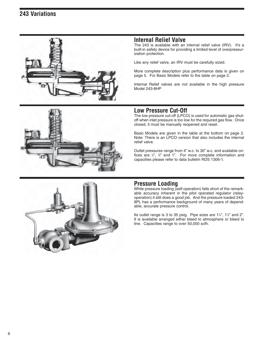

#### **Internal Relief Valve**

The 243 is available with an internal relief valve (IRV). It's a built-in safety device for providing a limited level of overpressurization protection.

Like any relief valve, an IRV must be carefully sized.

More complete description plus performance data is given on page 5. For Basic Models refer to the table on page 2.

Internal Relief valves are not available in the high pressure Model 243-8HP



#### **Low Pressure Cut-Off**

The low pressure cut-off (LPCO) is used for automatic gas shutoff when inlet pressure is too low for the required gas flow. Once closed, it must be manually reopened and reset.

Basic Models are given in the table at the bottom on page 2. Note: There is an LPCO version that also includes the internal relief valve.

Outlet pressures range from 4" w.c. to 30" w.c. and available orifices are  $\frac{1}{2}$ ",  $\frac{3}{4}$ " and 1". For more complete information and capacities please refer to data bulletin RDS 1306-1.



#### **Pressure Loading**

While pressure loading (self-operation) falls short of the remarkable accuracy inherent in the pilot operated regulator (relayoperation) it still does a good job. And the pressure loaded 243- 8PL has a performance background of many years of dependable, accurate pressure control.

Its outlet range is 3 to 35 psig. Pipe sizes are  $1\frac{1}{4}$ ,  $1\frac{1}{2}$  and 2". It is available arranged either bleed to atmosphere or bleed to line. Capacities range to over 50,000 scfh.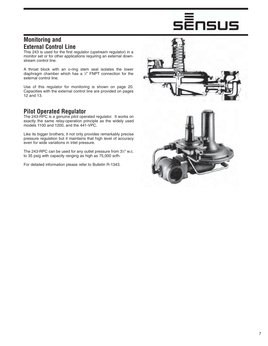# Ēnsus

#### **Monitoring and External Control Line**

This 243 is used for the first regulator (upstream regulator) in a monitor set or for other applications requiring an external downstream control line.

A throat block with an o-ring stem seal isolates the lower diaphragm chamber which has a 1 ⁄2" FNPT connection for the external control line.

Use of this regulator for monitoring is shown on page 20. Capacities with the external control line are provided on pages 12 and 13.

#### **Pilot Operated Regulator**

The 243-RPC is a genuine pilot operated regulator. It works on exactly the same relay-operation principle as the widely used models 1100 and 1200, and the 441-VPC.

Like its bigger brothers, it not only provides remarkably precise pressure regulation but it maintains that high level of accuracy even for wide variations in inlet pressure.

The 243-RPC can be used for any outlet pressure from 3½" w.c. to 35 psig with capacity ranging as high as 75,000 scfh.

For detailed information please refer to Bulletin R-1343.



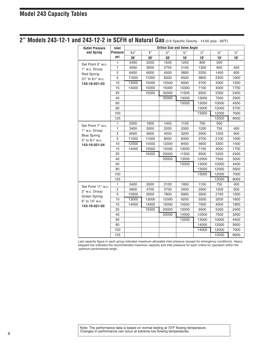2" Models 243-12-1 and 243-12-2 in SCFH of Natural Gas (0.6 Specific Gravity - 14.65 psia - 60°F)

| <b>Outlet Pressure</b> | Inlet           |                |            |            | <b>Orifice Size and Valve Angle</b> |               |                             |              |
|------------------------|-----------------|----------------|------------|------------|-------------------------------------|---------------|-----------------------------|--------------|
| and Spring             | <b>Pressure</b> | $1\frac{1}{4}$ | 1"         | 3/3        | $\frac{3}{4}$ "                     | $\frac{1}{2}$ | $\frac{3}{8}$ <sup>33</sup> | 1/3          |
|                        | psi             | $30^\circ$     | $30^\circ$ | $30^\circ$ | $10^{\circ}$                        | $10^\circ$    | $10^{\circ}$                | $10^{\circ}$ |
| Set Point 6" w.c.      | $\frac{1}{2}$   | 2400           | 2200       | 1500       | 1250                                | 800           | 500                         |              |
| 1" w.c. Droop          | $\mathbf{1}$    | 4000           | 3600       | 2700       | 2100                                | 1300          | 850                         | 400          |
| <b>Red Spring</b>      | $\overline{c}$  | 6400           | 6000       | 4500       | 3800                                | 2200          | 1400                        | 600          |
| 31/2" to 61/2" w.c.    | 5               | 11000          | 11000      | 8200       | 6500                                | 3800          | 2300                        | 1000         |
| 143-16-021-03          | 10              | 13000          | 15000      | 12500      | 9000                                | 5700          | 3300                        | 1500         |
|                        | 15              | 14000          | 15000      | 15000      | 10300                               | 7100          | 4000                        | 1750         |
|                        | 25              |                | 15000      | 20000      | 11500                               | 9500          | 5300                        | 2400         |
|                        | 40              |                |            | 20000      | 13000                               | 13000         | 7500                        | 3300         |
|                        | 60              |                |            |            | 15000                               | 13000         | 10000                       | 4500         |
|                        | 80              |                |            |            |                                     | 13000         | 12000                       | 5700         |
|                        | 100             |                |            |            |                                     | 13000         | 12000                       | 7000         |
|                        | 125             |                |            |            |                                     |               | 12000                       | 8000         |
| Set Point 7" w.c.      | $\frac{1}{2}$   | 2000           | 1800       | 1400       | 1100                                | 700           | 500                         |              |
| 1" w.c. Droop          | $\mathbf{1}$    | 3400           | 3000       | 2200       | 2000                                | 1200          | 750                         | 400          |
| <b>Blue Spring</b>     | $\overline{2}$  | 6000           | 5600       | 4000       | 3200                                | 2000          | 1250                        | 600          |
| 5" to 81/2" w.c.       | 5               | 11000          | 11000      | 8000       | 6000                                | 3700          | 2100                        | 1000         |
| 143-16-021-04          | 10              | 12500          | 14000      | 12000      | 8400                                | 5600          | 3300                        | 1400         |
|                        | 15              | 14000          | 15000      | 15000      | 10000                               | 7100          | 4000                        | 1750         |
|                        | 25              |                | 15000      | 20000      | 11500                               | 9500          | 5300                        | 2400         |
|                        | 40              |                |            | 20000      | 13500                               | 12000         | 7500                        | 3200         |
|                        | 60              |                |            |            | 15000                               | 13000         | 10000                       | 4400         |
|                        | 80              |                |            |            |                                     | 13000         | 12000                       | 5600         |
|                        | 100             |                |            |            |                                     | 13000         | 12000                       | 7000         |
|                        | 125             |                |            |            |                                     |               | 12000                       | 8000         |
| Set Point 11" w.c.     | $\mathbf{1}$    | 3400           | 3000       | 2100       | 1950                                | 1150          | 750                         | 400          |
| 2" w.c. Droop          | $\overline{2}$  | 5600           | 4700       | 3700       | 3400                                | 2000          | 1200                        | 600          |
| Green Spring           | 5               | 10500          | 9000       | 7800       | 6900                                | 3500          | 2100                        | 1000         |
| 6" to 14" w.c.         | 10              | 13000          | 13000      | 12000      | 9200                                | 5500          | 3200                        | 1600         |
| 143-16-021-05          | 15              | 14000          | 14000      | 15000      | 10500                               | 7000          | 4000                        | 1800         |
|                        | 25              |                | 15000      | 20000      | 12000                               | 9500          | 5300                        | 2400         |
|                        | 40              |                |            | 20000      | 14500                               | 12500         | 7500                        | 3200         |
|                        | 60              |                |            |            | 15500                               | 13000         | 10000                       | 4400         |
|                        | 80              |                |            |            |                                     | 14000         | 12000                       | 5600         |
|                        | 100             |                |            |            |                                     | 14000         | 12000                       | 7000         |
|                        | 125             |                |            |            |                                     |               | 12000                       | 8000         |

Last capacity figure in each group indicates maximum allowable inlet pressure (except for emergency conditions). Heavy stepped line indicates the recommended maximum capacity and inlet pressure for each orifice for operation within the optimum performance range.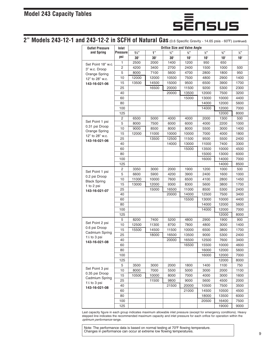

## **2" Models 243-12-1 and 243-12-2 in SCFH of Natural Gas** (0.6 Specific Gravity - 14.65 psia - 60°F) (continued)

| <b>Outlet Pressure</b>               | Inlet           |                |            |                 | <b>Orifice Size and Valve Angle</b> |                     |                 |                 |
|--------------------------------------|-----------------|----------------|------------|-----------------|-------------------------------------|---------------------|-----------------|-----------------|
| and Spring                           | <b>Pressure</b> | $1\frac{1}{4}$ | 1"         | $\frac{3}{4}$ " | $\frac{3}{4}$ "                     | $1/2$ <sup>33</sup> | $\frac{3}{8}$ " | $\frac{1}{4}$ " |
|                                      | psi             | $30^\circ$     | $30^\circ$ | $30^\circ$      | $10^\circ$                          | $10^{\circ}$        | $10^{\circ}$    | $10^{\circ}$    |
| Set Point 18" w.c.                   | 1               | 2500           | 2000       | 1400            | 1200                                | 950                 | 650             |                 |
| 3" w.c. Droop                        | $\overline{2}$  | 4200           | 3400       | 2700            | 2400                                | 1500                | 1000            | 500             |
| Orange Spring                        | 5               | 8000           | 7100       | 5600            | 4700                                | 2800                | 1800            | 950             |
| 12" to 28" w.c.                      | 10              | 12000          | 12000      | 10500           | 7500                                | 4800                | 2900            | 1400            |
| 143-16-021-06                        | 15              | 13500          | 14500      | 15000           | 9500                                | 6500                | 3900            | 1700            |
|                                      | 25              |                | 16500      | 20000           | 11500                               | 9200                | 5300            | 2300            |
|                                      | 40              |                |            | 20000           | 13500                               | 12000               | 7500            | 3200            |
|                                      | 60              |                |            |                 | 15000                               | 13000               | 10000           | 4400            |
|                                      | 80              |                |            |                 |                                     | 14000               | 12000           | 5600            |
|                                      | 100             |                |            |                 |                                     | 14000               | 12000           | 7000            |
|                                      | 125             |                |            |                 |                                     |                     | 12000           | 8000            |
|                                      | 2               | 6500           | 5000       | 4000            | 4000                                | 2000                | 1300            | 500             |
| Set Point 1 psi                      | 5               | 8000           | 7500       | 6000            | 6000                                | 4000                | 2200            | 1000            |
| 0.31 psi Droop                       | 10              | 9000           | 8500       | 8000            | 8000                                | 5500                | 3000            | 1400            |
| Orange Spring<br>12" to 28" w.c.     | 15              | 12000          | 11000      | 10000           | 10000                               | 7000                | 4000            | 1800            |
| 143-16-021-06                        | 25              |                | 13500      | 12500           | 11500                               | 9500                | 5500            | 2400            |
|                                      | 40              |                |            | 14000           | 13000                               | 11000               | 7400            | 3300            |
|                                      | 60              |                |            |                 | 15000                               | 13500               | 10000           | 4500            |
|                                      | 80              |                |            |                 |                                     | 15000               | 13000           | 6000            |
|                                      | 100             |                |            |                 |                                     | 16000               | 14000           | 7000            |
|                                      | 125             |                |            |                 |                                     |                     | 14000           | 8500            |
|                                      | $\overline{2}$  | 3350           | 3000       | 2000            | 1900                                | 1200                | 1000            | 500             |
| Set Point 1 psi                      | 5               | 6600           | 5900       | 4200            | 3900                                | 2400                | 1600            | 1000            |
| 0.2 psi Droop<br><b>Black Spring</b> | 10              | 11000          | 10000      | 7600            | 6500                                | 4100                | 2800            | 1450            |
| 1 to 2 psi                           | 15              | 13000          | 12000      | 9300            | 8300                                | 5600                | 3800            | 1700            |
| 143-16-021-07                        | 25              |                | 15000      | 16500           | 11000                               | 8500                | 5300            | 2400            |
|                                      | 40              |                |            | 20000           | 14000                               | 12500               | 7500            | 3400            |
|                                      | 60              |                |            |                 | 15500                               | 13000               | 10000           | 4400            |
|                                      | 80              |                |            |                 |                                     | 14000               | 12000           | 5600            |
|                                      | 100             |                |            |                 |                                     | 14000               | 12000           | 7000            |
|                                      | 125             |                |            |                 |                                     |                     | 12000           | 8000            |
|                                      | 5               | 8200           | 7400       | 5200            | 4800                                | 2900                | 1900            | 900             |
| Set Point 2 psi                      | 10              | 12500          | 11300      | 8700            | 7800                                | 4800                | 3000            | 1400            |
| 0.6 psi Droop<br>Cadmium Spring      | 15              | 15500          | 14500      | 11500           | 10000                               | 6500                | 3800            | 1700            |
| $1\frac{1}{2}$ to 3 psi              | 25              |                | 18000      | 16500           | 13500                               | 9000                | 5300            | 2400            |
| 143-16-021-08                        | 40              |                |            | 20000           | 16500                               | 12500               | 7600            | 3400            |
|                                      | 60              |                |            |                 | 16500                               | 15500               | 10000           | 4600            |
|                                      | 80              |                |            |                 |                                     | 16000               | 12000           | 5600            |
|                                      | 100             |                |            |                 |                                     | 16000               | 12000           | 7000            |
|                                      | 125             |                |            |                 |                                     |                     | 12000           | 8000            |
|                                      | 5               | 3500           | 3000       | 2000            | 1800                                | 1400                | 1100            | 750             |
| Set Point 3 psi                      | 10              | 8000           | 7000       | 5500            | 5000                                | 3000                | 2000            | 1100            |
| 0.35 psi Droop                       | 15              | 10500          | 10000      | 8000            | 7000                                | 4000                | 3000            | 1600            |
| Cadmium Spring<br>1½ to 3 psi        | 25              |                | 11500      | 9800            | 9000                                | 5600                | 4500            | 2000            |
| 143-16-021-08                        | 40              |                |            | 21500           | 20000                               | 10500               | 7500            | 3500            |
|                                      | 60              |                |            |                 | 21000                               | 14500               | 10500           | 4500            |
|                                      | 80              |                |            |                 |                                     | 18000               | 13500           | 6000            |
|                                      | 100             |                |            |                 |                                     | 20500               | 16400           | 7500            |
|                                      | 125             |                |            |                 |                                     |                     | 19000           | 9000            |

Last capacity figure in each group indicates maximum allowable inlet pressure (except for emergency conditions). Heavy stepped line indicates the recommended maximum capacity and inlet pressure for each orifice for operation within the optimum performance range.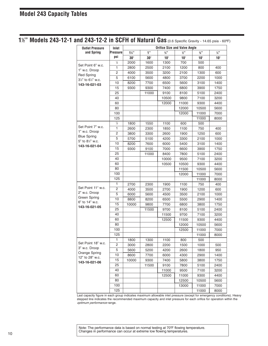**⁄2" Models 243-12-1 and 243-12-2 in SCFH of Natural Gas** (0.6 Specific Gravity - 14.65 psia - 60ºF)

| <b>Outlet Pressure</b>               | Inlet           |                |            |                 | <b>Orifice Size and Valve Angle</b> |                 |                 |
|--------------------------------------|-----------------|----------------|------------|-----------------|-------------------------------------|-----------------|-----------------|
| and Spring                           | <b>Pressure</b> | $1\frac{1}{4}$ | 1"         | $\frac{3}{4}$ " | $\frac{1}{2}$                       | $\frac{3}{8}$ " | $\frac{1}{4}$ " |
|                                      | psi             | $30^\circ$     | $30^\circ$ | $10^{\circ}$    | $10^{\circ}$                        | $10^{\circ}$    | 10°             |
|                                      | $\frac{1}{2}$   | 2000           | 1600       | 1300            | 700                                 | 500             |                 |
| Set Point 6" w.c.                    | $\mathbf{1}$    | 2800           | 2500       | 2100            | 1200                                | 800             | 400             |
| 1" w.c. Droop                        | 2               | 4000           | 3500       | 3200            | 2100                                | 1300            | 600             |
| <b>Red Spring</b><br>3½" to 6½" w.c. | 5               | 6100           | 5600       | 4800            | 3700                                | 2200            | 1000            |
| 143-16-021-03                        | 10              | 8200           | 7700       | 6500            | 5600                                | 3100            | 1400            |
|                                      | 15              | 9300           | 9300       | 7400            | 6800                                | 3900            | 1750            |
|                                      | 25              |                | 11000      | 9100            | 8100                                | 5100            | 2400            |
|                                      | 40              |                |            | 10500           | 9800                                | 7100            | 3200            |
|                                      | 60              |                |            | 12000           | 11000                               | 9300            | 4400            |
|                                      | 80              |                |            |                 | 12000                               | 10500           | 5600            |
|                                      | 100             |                |            |                 | 12000                               | 11000           | 7000            |
|                                      | 125             |                |            |                 |                                     | 11000           | 8000            |
|                                      | $\frac{1}{2}$   | 1800           | 1550       | 1100            | 600                                 | 500             |                 |
| Set Point 7" w.c.                    | 1               | 2600           | 2300       | 1850            | 1100                                | 750             | 400             |
| 1" w.c. Droop                        | $\overline{c}$  | 3800           | 3300       | 2600            | 1900                                | 1250            | 600             |
| <b>Blue Spring</b>                   | 5               | 5700           | 5100       | 4200            | 3300                                | 2100            | 1000            |
| 5" to 81/2" w.c.                     | 10              | 8200           | 7600       | 6000            | 5400                                | 3100            | 1400            |
| 143-16-021-04                        | 15              | 9300           | 9100       | 7000            | 6600                                | 3900            | 1750            |
|                                      | 25              |                | 11000      | 8400            | 7800                                | 5100            | 2400            |
|                                      | 40              |                |            | 10000           | 9500                                | 7100            | 3200            |
|                                      | 60              |                |            | 10500           | 10500                               | 9300            | 4400            |
|                                      | 80              |                |            |                 | 11500                               | 10500           | 5600            |
|                                      | 100             |                |            |                 | 12000                               | 11000           | 7000            |
|                                      | 125             |                |            |                 |                                     | 11000           | 8000            |
|                                      | 1               | 2700           | 2300       | 1900            | 1100                                | 750             | 400             |
| Set Point 11" w.c.                   | 2               | 4000           | 3500       | 2700            | 1900                                | 1200            | 600             |
| 2" w.c. Droop                        | 5               | 6000           | 5600       | 4500            | 3500                                | 2100            | 1000            |
| Green Spring                         | 10              | 8800           | 8200       | 6500            | 5500                                | 2900            | 1400            |
| 6" to 14" w.c.                       | 15              | 10000          | 9800       | 7700            | 6800                                | 3800            | 1750            |
| 143-16-021-05                        | 25              |                | 11500      | 9700            | 8100                                | 5100            | 2400            |
|                                      | 40              |                |            | 11500           | 9700                                | 7100            | 3200            |
|                                      | 60              |                |            | 12500           | 11500                               | 9300            | 4400            |
|                                      | 80              |                |            |                 | 12000                               | 10500           | 5600            |
|                                      | 100             |                |            |                 | 12500                               | 11000           | 7000            |
|                                      | 125             |                |            |                 |                                     | 11000           | 8000            |
|                                      | 1               | 1800           | 1300       | 1100            | 800                                 | 500             |                 |
| Set Point 18" w.c.                   | $\overline{c}$  | 3000           | 2800       | 2200            | 1500                                | 1000            | 500             |
| 3" w.c. Droop                        | 5               | 5600           | 5200       | 4200            | 2600                                | 1800            | 950             |
| Orange Spring                        | 10              | 8600           | 7700       | 6000            | 4300                                | 2900            | 1400            |
| 12" to 28" w.c.                      | 15              | 10000          | 9300       | 7400            | 5800                                | 3800            | 1750            |
| 143-16-021-06                        | 25              |                | 11500      | 9100            | 7800                                | 5100            | 2400            |
|                                      | 40              |                |            | 11000           | 9500                                | 7100            | 3200            |
|                                      | 60              |                |            | 12500           | 11000                               |                 | 4400            |
|                                      | 80              |                |            |                 | 12500                               | 9300            |                 |
|                                      | 100             |                |            |                 | 13000                               | 10500<br>11000  | 5600<br>7000    |
|                                      | 125             |                |            |                 |                                     |                 |                 |
|                                      |                 |                |            |                 |                                     | 11000           | 8000            |

Last capacity figure in each group indicates maximum allowable inlet pressure (except for emergency conditions). Heavy stepped line indicates the recommended maximum capacity and inlet pressure for each orifice for operation within the optimum performance range.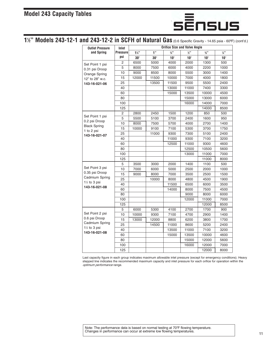

#### **⁄2" Models 243-12-1 and 243-12-2 in SCFH of Natural Gas** (0.6 Specific Gravity - 14.65 psia - 60ºF) (cont'd.)

| <b>Outlet Pressure</b>            | Inlet           |                |            |                 | <b>Orifice Size and Valve Angle</b> |                 |                 |  |  |
|-----------------------------------|-----------------|----------------|------------|-----------------|-------------------------------------|-----------------|-----------------|--|--|
| and Spring                        | <b>Pressure</b> | $1\frac{1}{4}$ | 1"         | $\frac{3}{4}$ " | $\frac{1}{2}$ "                     | $\frac{3}{8}$ " | $\frac{1}{4}$ " |  |  |
|                                   | psi             | $30^\circ$     | $30^\circ$ | $10^{\circ}$    | $10^\circ$                          | $10^{\circ}$    | $10^{\circ}$    |  |  |
| Set Point 1 psi                   | $\overline{2}$  | 6500           | 5000       | 4000            | 2000                                | 1300            | 500             |  |  |
| 0.31 psi Droop                    | 5               | 8000           | 7500       | 6000            | 4000                                | 2200            | 1000            |  |  |
| Orange Spring                     | 10              | 9000           | 8500       | 8000            | 5500                                | 3000            | 1400            |  |  |
| 12" to 28" w.c.                   | 15              | 12000          | 11500      | 10000           | 7000                                | 4000            | 1800            |  |  |
| 143-16-021-06                     | 25              |                | 13500      | 11500           | 9500                                | 5500            | 2400            |  |  |
|                                   | 40              |                |            | 13000           | 11000                               | 7400            | 3300            |  |  |
|                                   | 60              |                |            | 15000           | 13500                               | 10000           | 4500            |  |  |
|                                   | 80              |                |            |                 | 15000                               | 13000           | 6000            |  |  |
|                                   | 100             |                |            |                 | 16000                               | 14000           | 7000            |  |  |
|                                   | 125             |                |            |                 |                                     | 14000           | 8500            |  |  |
|                                   | $\overline{c}$  | 2800           | 2450       | 1500            | 1200                                | 850             | 500             |  |  |
| Set Point 1 psi                   | 5               | 5500           | 5100       | 3700            | 2400                                | 1600            | 950             |  |  |
| 0.2 psi Droop                     | 10              | 8000           | 7500       | 5700            | 4000                                | 2700            | 1400            |  |  |
| <b>Black Spring</b><br>1 to 2 psi | 15              | 10000          | 9100       | 7100            | 5300                                | 3700            | 1750            |  |  |
| 143-16-021-07                     | 25              |                | 11000      | 9300            | 7300                                | 5100            | 2400            |  |  |
|                                   | 40              |                |            | 11000           | 9300                                | 7100            | 3200            |  |  |
|                                   | 60              |                |            | 12500           | 11000                               | 9300            | 4600            |  |  |
|                                   | 80              |                |            |                 | 12500                               | 10500           | 5600            |  |  |
|                                   | 100             |                |            |                 | 13000                               | 11000           | 7000            |  |  |
|                                   | 125             |                |            |                 |                                     | 11000           | 8000            |  |  |
|                                   | 5               | 3500           | 3000       | 2000            | 1400                                | 1100            | 500             |  |  |
| Set Point 3 psi                   | 10              | 7000           | 6000       | 5000            | 2500                                | 2000            | 1000            |  |  |
| 0.35 psi Droop                    | 15              | 9000           | 8000       | 7000            | 3500                                | 2500            | 1500            |  |  |
| Cadmium Spring                    | 25              |                | 10000      | 8000            | 4800                                | 4500            | 1900            |  |  |
| $1\%$ to 3 psi<br>143-16-021-08   | 40              |                |            | 11500           | 6500                                | 6000            | 3500            |  |  |
|                                   | 60              |                |            | 14000           | 8000                                | 7500            | 4500            |  |  |
|                                   | 80              |                |            |                 | 9000                                | 8000            | 6000            |  |  |
|                                   | 100             |                |            |                 | 12000                               | 11000           | 7000            |  |  |
|                                   | 125             |                |            |                 |                                     | 12000           | 8500            |  |  |
|                                   | 5               | 6000           | 5300       | 4100            | 2700                                | 1700            | 900             |  |  |
| Set Point 2 psi                   | 10              | 10000          | 9300       | 7100            | 4700                                | 2900            | 1400            |  |  |
| 0.6 psi Droop                     | 15              | 13000          | 12000      | 8800            | 6200                                | 3800            | 1700            |  |  |
| Cadmium Spring                    | 25              |                | 14500      | 11000           | 8600                                | 5200            | 2400            |  |  |
| $1\frac{1}{2}$ to 3 psi           | 40              |                |            | 13500           | 11000                               | 7100            | 3200            |  |  |
| 143-16-021-08                     | 60              |                |            | 15000           | 13500                               | 10000           | 4600            |  |  |
|                                   | 80              |                |            |                 | 15000                               | 12000           | 5600            |  |  |
|                                   | 100             |                |            |                 | 16000                               | 12000           | 7000            |  |  |
|                                   | 125             |                |            |                 |                                     | 12000           | 8000            |  |  |

Last capacity figure in each group indicates maximum allowable inlet pressure (except for emergency conditions). Heavy stepped line indicates the recommended maximum capacity and inlet pressure for each orifice for operation within the optimum performance range.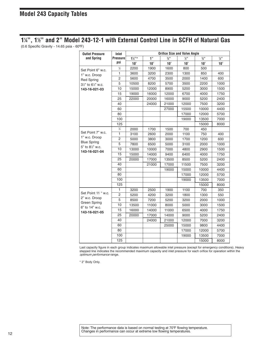#### **⁄4", 11 ⁄2" and 2" Model 243-12-1 with External Control Line in SCFH of Natural Gas**

(0.6 Specific Gravity - 14.65 psia - 60ºF)

| <b>Outlet Pressure</b>            | Inlet           | <b>Orifice Size and Valve Angle</b> |              |              |                 |                 |               |  |
|-----------------------------------|-----------------|-------------------------------------|--------------|--------------|-----------------|-----------------|---------------|--|
| and Spring                        | <b>Pressure</b> | $1\frac{1}{3}$                      | 1"           | 3/3          | $\frac{1}{2}$ " | $\frac{3}{8}$ " | $\frac{1}{4}$ |  |
|                                   | psi             | $10^{\circ}$                        | $10^{\circ}$ | $10^{\circ}$ | $10^{\circ}$    | $10^{\circ}$    | $10^{\circ}$  |  |
| Set Point 6" w.c.                 | $\frac{1}{2}$   | 2200                                | 1900         | 1600         | 800             | 500             |               |  |
| 1" w.c. Droop                     | $\mathbf{1}$    | 3600                                | 3200         | 2300         | 1300            | 850             | 400           |  |
| <b>Red Spring</b>                 | $\overline{2}$  | 5600                                | 4700         | 3500         | 2000            | 1400            | 600           |  |
| 31/2" to 61/2" w.c.               | 5               | 10500                               | 8200         | 5700         | 3500            | 2200            | 1000          |  |
| 143-16-021-03                     | 10              | 15000                               | 12000        | 8900         | 5200            | 3000            | 1500          |  |
|                                   | 15              | 19000                               | 16000        | 12000        | 6700            | 4000            | 1750          |  |
|                                   | 25              | 22000                               | 20000        | 16000        | 9000            | 5200            | 2400          |  |
|                                   | 40              |                                     | 24000        | 21000        | 12000           | 7500            | 3200          |  |
|                                   | 60              |                                     |              | 27000        | 15500           | 10000           | 4400          |  |
|                                   | 80              |                                     |              |              | 17000           | 12000           | 5700          |  |
|                                   | 100             |                                     |              |              | 19000           | 13500           | 7000          |  |
|                                   | 125             |                                     |              |              |                 | 15000           | 8000          |  |
|                                   | $\frac{1}{2}$   | 2000                                | 1700         | 1500         | 700             | 450             |               |  |
| Set Point 7" w.c.                 | $\mathbf{1}$    | 3100                                | 2600         | 2000         | 1100            | 750             | 400           |  |
| 1" w.c. Droop                     | $\overline{2}$  | 5000                                | 3800         | 3000         | 1700            | 1200            | 600           |  |
| <b>Blue Spring</b>                | 5               | 7800                                | 6500         | 5000         | 3100            | 2000            | 1000          |  |
| 5" to 81/2" w.c.<br>143-16-021-04 | 10              | 13000                               | 10000        | 7000         | 4800            | 2900            | 1500          |  |
|                                   | 15              | 15000                               | 14000        | 9400         | 6400            | 4000            | 1750          |  |
|                                   | 25              | 20000                               | 17000        | 13500        | 8500            | 5200            | 2400          |  |
|                                   | 40              |                                     | 21000        | 17000        | 11500           | 7500            | 3200          |  |
|                                   | 60              |                                     |              | 19000        | 15000           | 10000           | 4400          |  |
|                                   | 80              |                                     |              |              | 17000           | 12000           | 5700          |  |
|                                   | 100             |                                     |              |              | 19000           | 13500           | 7000          |  |
|                                   | 125             |                                     |              |              |                 | 15000           | 8000          |  |
|                                   | 1               | 3200                                | 2500         | 1900         | 1100            | 700             | 350           |  |
| Set Point 11 " w.c.               | 2               | 5200                                | 4200         | 3200         | 1800            | 1300            | 550           |  |
| 2" w.c. Droop                     | 5               | 8500                                | 7200         | 5200         | 3200            | 2000            | 1000          |  |
| Green Spring<br>6" to 14" w.c.    | 10              | 13500                               | 11000        | 8000         | 5000            | 3000            | 1500          |  |
| 143-16-021-05                     | 15              | 16000                               | 14000        | 11000        | 6500            | 4000            | 1750          |  |
|                                   | 25              | 20000                               | 17000        | 14000        | 9000            | 5200            | 2400          |  |
|                                   | 40              |                                     | 24000        | 21000        | 12000           | 7000            | 3200          |  |
|                                   | 60              |                                     |              | 25000        | 15000           | 9800            | 4400          |  |
|                                   | 80              |                                     |              |              | 17000           | 12000           | 5700          |  |
|                                   | 100             |                                     |              |              | 19000           | 13500           | 7000          |  |
|                                   | 125             |                                     |              |              |                 | 15000           | 8000          |  |

Last capacity figure in each group indicates maximum allowable inlet pressure (except for emergency conditions). Heavy stepped line indicates the recommended maximum capacity and inlet pressure for each orifice for operation within the optimum performance range.

\* 2" Body Only.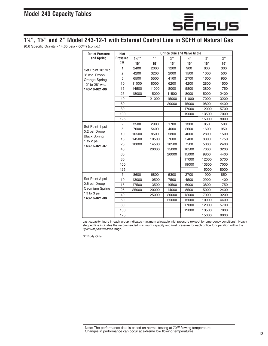

#### **⁄4", 11 ⁄2" and 2" Model 243-12-1 with External Control Line in SCFH of Natural Gas**

(0.6 Specific Gravity - 14.65 psia - 60ºF) (cont'd.)

| <b>Outlet Pressure</b>           | Inlet           |                   |              |            | <b>Orifice Size and Valve Angle</b> |                             |                 |
|----------------------------------|-----------------|-------------------|--------------|------------|-------------------------------------|-----------------------------|-----------------|
| and Spring                       | <b>Pressure</b> | $1\frac{1}{4}$ "* | 1"           | 3/3        | $\frac{1}{2}$ "                     | $\frac{3}{8}$ <sup>33</sup> | $\frac{1}{4}$ " |
|                                  | psi             | $10^\circ$        | $10^{\circ}$ | $10^\circ$ | $10^\circ$                          | $10^\circ$                  | $10^{\circ}$    |
| Set Point 18" w.c.               | 1               | 2400              | 2000         | 1200       | 900                                 | 600                         | 300             |
| 3" w.c. Droop                    | $\overline{2}$  | 4200              | 3200         | 2000       | 1500                                | 1000                        | 500             |
| Orange Spring                    | 5               | 6500              | 5500         | 4100       | 2700                                | 1600                        | 950             |
| 12" to 28" w.c.                  | 10              | 11000             | 8000         | 6200       | 4200                                | 2800                        | 1500            |
| 143-16-021-06                    | 15              | 14500             | 11000        | 8000       | 5800                                | 3800                        | 1750            |
|                                  | 25              | 18000             | 15000        | 11500      | 8000                                | 5000                        | 2400            |
|                                  | 40              |                   | 21000        | 15000      | 11000                               | 7000                        | 3200            |
|                                  | 60              |                   |              | 20000      | 15000                               | 9800                        | 4400            |
|                                  | 80              |                   |              |            | 17000                               | 12000                       | 5700            |
|                                  | 100             |                   |              |            | 19000                               | 13500                       | 7000            |
|                                  | 125             |                   |              |            |                                     | 15000                       | 8000            |
|                                  | $\overline{2}$  | 3500              | 2900         | 1700       | 1300                                | 850                         | 500             |
| Set Point 1 psi<br>0.2 psi Droop | 5               | 7000              | 5400         | 4000       | 2600                                | 1600                        | 950             |
| <b>Black Spring</b>              | 10              | 10500             | 8500         | 5800       | 4000                                | 2800                        | 1500            |
| 1 to 2 psi                       | 15              | 14500             | 10500        | 7600       | 5400                                | 3800                        | 1750            |
| 143-16-021-07                    | 25              | 18000             | 14500        | 10500      | 7500                                | 5000                        | 2400            |
|                                  | 40              |                   | 20000        | 15000      | 10500                               | 7000                        | 3200            |
|                                  | 60              |                   |              | 20000      | 15000                               | 9800                        | 4400            |
|                                  | 80              |                   |              |            | 17000                               | 12000                       | 5700            |
|                                  | 100             |                   |              |            | 19000                               | 13500                       | 7000            |
|                                  | 125             |                   |              |            |                                     | 15000                       | 8000            |
|                                  | 5               | 8600              | 6800         | 5300       | 2700                                | 1900                        | 850             |
| Set Point 2 psi                  | 10              | 13000             | 10500        | 7500       | 4500                                | 2900                        | 1400            |
| 0.6 psi Droop                    | 15              | 17500             | 13500        | 10500      | 6000                                | 3800                        | 1750            |
| Cadmium Spring                   | 25              | 25000             | 20000        | 14000      | 8500                                | 5000                        | 2400            |
| 1% to 3 psi                      | 40              |                   | 25000        | 20000      | 12000                               | 7000                        | 3200            |
| 143-16-021-08                    | 60              |                   |              | 25000      | 15000                               | 10000                       | 4400            |
|                                  | 80              |                   |              |            | 17000                               | 12000                       | 5700            |
|                                  | 100             |                   |              |            | 19000                               | 13500                       | 7000            |
|                                  | 125             |                   |              |            |                                     | 15000                       | 8000            |

Last capacity figure in each group indicates maximum allowable inlet pressure (except for emergency conditions). Heavy stepped line indicates the recommended maximum capacity and inlet pressure for each orifice for operation within the optimum performance range.

\*2" Body Only.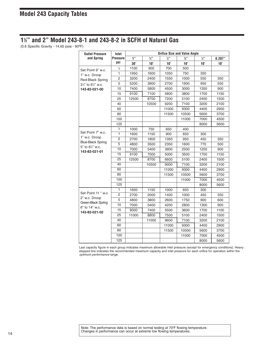#### **⁄2" and 2" Model 243-8-1 and 243-8-2 in SCFH of Natural Gas**

(0.6 Specific Gravity - 14.65 psia - 60ºF)

| <b>Outlet Pressure</b>                       | Inlet           |            |              |            | <b>Orifice Size and Valve Angle</b> |                 |              |
|----------------------------------------------|-----------------|------------|--------------|------------|-------------------------------------|-----------------|--------------|
| and Spring                                   | <b>Pressure</b> | 1"         | 3/3          | 1/2        | 3/3                                 | $\frac{1}{4}$ " | 0.207"       |
|                                              | psi             | $30^\circ$ | $10^{\circ}$ | $10^\circ$ | $10^{\circ}$                        | $10^{\circ}$    | $10^{\circ}$ |
| Set Point 6" w.c.                            | $\frac{1}{2}$   | 1100       | 900          | 700        | 500                                 |                 |              |
| 1" w.c. Droop                                | $\overline{1}$  | 1950       | 1600         | 1050       | 750                                 | 350             |              |
| Red-Black Spring                             | $\overline{2}$  | 3200       | 2400         | 1550       | 1000                                | 550             | 350          |
| $3\frac{1}{2}$ " to 6 $\frac{1}{2}$ " w.c.   | 5               | 5200       | 3900         | 2700       | 1900                                | 950             | 550          |
| 143-82-021-00                                | 10              | 7400       | 5800         | 4500       | 3000                                | 1350            | 900          |
|                                              | 15              | 9100       | 7100         | 5800       | 3800                                | 1700            | 1150         |
|                                              | 25              | 12500      | 8700         | 7200       | 5100                                | 2400            | 1500         |
|                                              | 40              |            | 10500        | 9200       | 7100                                | 3200            | 2100         |
|                                              | 60              |            |              | 11000      | 9300                                | 4400            | 2900         |
|                                              | 80              |            |              | 11500      | 10500                               | 5600            | 3700         |
|                                              | 100             |            |              |            | 11000                               | 7000            | 4500         |
|                                              | 125             |            |              |            |                                     | 8000            | 5600         |
|                                              | $\frac{1}{2}$   | 1000       | 750          | 650        | 400                                 |                 |              |
| Set Point 7" w.c.                            | $\overline{1}$  | 1600       | 1150         | 900        | 650                                 | 300             |              |
| 1" w.c. Droop                                | $\overline{2}$  | 2700       | 1800         | 1350       | 950                                 | 450             | 350          |
| <b>Blue-Black Spring</b><br>5" to 81/2" w.c. | 5               | 4800       | 3500         | 2350       | 1600                                | 770             | 500          |
| 143-82-021-01                                | 10              | 7000       | 5400         | 3900       | 2500                                | 1250            | 900          |
|                                              | 15              | 9100       | 7000         | 5000       | 3500                                | 1700            | 1150         |
|                                              | 25              | 12500      | 8700         | 6600       | 5100                                | 2400            | 1500         |
|                                              | 40              |            | 10500        | 9000       | 7100                                | 3200            | 2100         |
|                                              | 60              |            |              | 11000      | 9300                                | 4400            | 2900         |
|                                              | 80              |            |              | 11500      | 10500                               | 5600            | 3700         |
|                                              | 100             |            |              |            | 11000                               | 7000            | 4500         |
|                                              | 125             |            |              |            |                                     | 8000            | 5600         |
|                                              | 1               | 1650       | 1150         | 1000       | 650                                 | 300             |              |
| Set Point 11 " w.c.                          | $\overline{c}$  | 2700       | 2000         | 1400       | 1000                                | 450             | 350          |
| 2" w.c. Droop<br>Green-Black Spring          | 5               | 4800       | 3800         | 2600       | 1750                                | 900             | 600          |
| 6" to 14" w.c.                               | 10              | 7000       | 5400         | 4200       | 2800                                | 1300            | 900          |
| 143-82-021-02                                | 15              | 9000       | 7400         | 5500       | 3600                                | 1700            | 1100         |
|                                              | 25              | 11000      | 8800         | 7500       | 5100                                | 2400            | 1500         |
|                                              | 40              |            | 11000        | 9600       | 7100                                | 3200            | 2100         |
|                                              | 60              |            |              | 11000      | 9300                                | 4400            | 2900         |
|                                              | 80              |            |              | 11500      | 10500                               | 5600            | 3700         |
|                                              | 100             |            |              |            | 11000                               | 7000            | 4500         |
|                                              | 125             |            |              |            |                                     | 8000            | 5600         |

Last capacity figure in each group indicates maximum allowable inlet pressure (except for emergency conditions). Heavy stepped line indicates the recommended maximum capacity and inlet pressure for each orifice for operation within the optimum performance range.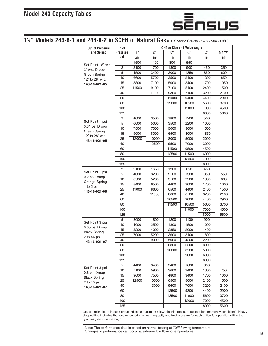# sēnsus

#### **⁄2" Models 243-8-1 and 243-8-2 in SCFH of Natural Gas** (0.6 Specific Gravity - 14.65 psia - 60ºF)

| <b>Outlet Pressure</b>            | Inlet           |            |                 |                 | <b>Orifice Size and Valve Angle</b> |                 |              |
|-----------------------------------|-----------------|------------|-----------------|-----------------|-------------------------------------|-----------------|--------------|
| and Spring                        | <b>Pressure</b> | 1"         | $\frac{3}{4}$ " | $\frac{1}{2}$ " | $\frac{3}{8}$ "                     | $\frac{1}{4}$ " | 0.207"       |
|                                   | psi             | $30^\circ$ | $10^{\circ}$    | $10^\circ$      | $10^{\circ}$                        | 10 $^{\circ}$   | $10^{\circ}$ |
| Set Point 18" w.c.                | 1               | 1500       | 1100            | 800             | 550                                 |                 |              |
| 3" w.c. Droop                     | 2               | 2100       | 1700            | 1300            | 900                                 | 450             | 350          |
| Green Spring                      | 5               | 4500       | 3400            | 2000            | 1350                                | 850             | 600          |
| 12" to 28" w.c.                   | 10              | 6600       | 5700            | 3500            | 2400                                | 1300            | 850          |
| 143-16-021-05                     | 15              | 8800       | 7100            | 5000            | 3400                                | 1700            | 1050         |
|                                   | 25              | 11500      | 9100            | 7100            | 5100                                | 2400            | 1500         |
|                                   | 40              |            | 11000           | 9300            | 7100                                | 3200            | 2100         |
|                                   | 60              |            |                 | 11000           | 9400                                | 4400            | 2900         |
|                                   | 80              |            |                 | 12000           | 10500                               | 5600            | 3700         |
|                                   | 100             |            |                 |                 | 11000                               | 7000            | 4500         |
|                                   | 125             |            |                 |                 |                                     | 8000            | 5600         |
|                                   | $\overline{c}$  | 4000       | 3500            | 1800            | 1200                                | 500             |              |
| Set Point 1 psi<br>0.31 psi Droop | 5               | 6000       | 5000            | 3500            | 2200                                | 1000            |              |
| Green Spring                      | 10              | 7500       | 7000            | 5000            | 3000                                | 1500            |              |
| 12" to 28" w.c.                   | 15              | 9000       | 8000            | 6500            | 4000                                | 1850            |              |
| 143-16-021-05                     | 25              | 12000      | 10000           | 8000            | 5000                                | 2000            |              |
|                                   | 40              |            | 12500           | 9500            | 7000                                | 3000            |              |
|                                   | 60              |            |                 | 11500           | 9500                                | 4500            |              |
|                                   | 80              |            |                 | 12500           | 11500                               | 6000            |              |
|                                   | 100             |            |                 |                 | 12500                               | 7000            |              |
|                                   | 125             |            |                 |                 |                                     | 8000            |              |
| Set Point 1 psi                   | 2               | 2100       | 1650            | 1200            | 850                                 | 450             |              |
| 0.2 psi Droop                     | 5               | 4000       | 3200            | 2100            | 1300                                | 850             | 550          |
| Orange Spring                     | 10              | 6500       | 5200            | 3100            | 2200                                | 1300            | 800          |
| 1 to 2 psi                        | 15              | 8400       | 6500            | 4400            | 3000                                | 1700            | 1000         |
| 143-16-021-06                     | 25              | 11000      | 8600            | 6500            | 4400                                | 2400            | 1500         |
|                                   | 40              |            | 11000           | 8600            | 6700                                | 3200            | 2100         |
|                                   | 60              |            |                 | 10500           | 9000                                | 4400            | 2900         |
|                                   | 80              |            |                 | 11500           | 10500                               | 5600            | 3700         |
|                                   | 100             |            |                 |                 | 11000                               | 7000            | 4500         |
|                                   | 125             |            |                 |                 |                                     | 8000            | 5600         |
| Set Point 3 psi                   | 5               | 3000       | 1800            | 1200            | 1100                                | 900             |              |
| 0.35 psi Droop                    | 10              | 4000       | 2500            | 1800            | 1500                                | 1000            |              |
| <b>Black Spring</b>               | 15              | 5200       | 4000            | 2850            | 2000                                | 1400            |              |
| 2 to $4\%$ psi                    | 25              | 7000       | 5200            | 3600            | 3100                                | 1800            |              |
| 143-16-021-07                     | 40              |            | 9000            | 5000            | 4200                                | 2200            |              |
|                                   | 60              |            |                 | 8300            | 6500                                | 3000            |              |
|                                   | 80              |            |                 | 10000           | 8500                                | 5000            |              |
|                                   | 100             |            |                 |                 | 9000                                | 6000            |              |
|                                   | 125             |            |                 |                 |                                     | 8000            |              |
| Set Point 3 psi                   | 5               | 4400       | 3400            | 2400            | 1600                                | 800             |              |
| 0.6 psi Droop                     | 10              | 7100       | 5900            | 3600            | 2400                                | 1300            | 750          |
| <b>Black Spring</b>               | 15              | 9600       | 7500            | 4800            | 3400                                | 1700            | 1000         |
| 2 to $4\%$ psi                    | 25              | 12500      | 10500           | 6500            | 5000                                | 2400            | 1500         |
| 143-16-021-07                     | 40              |            | 13000           | 9600            | 7000                                | 3200            | 2100         |
|                                   | 60              |            |                 | 12500           | 9300                                | 4400            | 2900         |
|                                   | 80              |            |                 | 13500           | 11000                               | 5600            | 3700         |
|                                   | 100             |            |                 |                 | 12000                               | 7000            | 4500         |
|                                   | 125             |            |                 |                 |                                     | 8000            | 5600         |

Last capacity figure in each group indicates maximum allowable inlet pressure (except for emergency conditions). Heavy stepped line indicates the recommended maximum capacity and inlet pressure for each orifice for operation within the optimum performance range.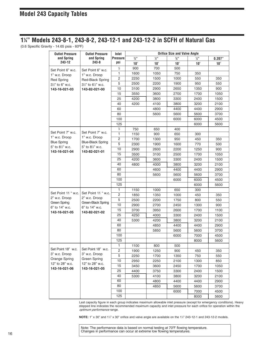#### **⁄4" Models 243-8-1, 243-8-2, 243-12-1 and 243-12-2 in SCFH of Natural Gas**

(0.6 Specific Gravity - 14.65 psia - 60ºF)

| <b>Outlet Pressure</b>               | <b>Outlet Pressure</b>              | Inlet                   |            |                     | <b>Orifice Size and Valve Angle</b> |               |              |
|--------------------------------------|-------------------------------------|-------------------------|------------|---------------------|-------------------------------------|---------------|--------------|
| and Spring                           | and Spring                          | <b>Pressure</b>         | 3/3        | $1/2$ <sup>33</sup> | $3/8$ <sup>33</sup>                 | $\frac{1}{4}$ | 0.207"       |
| 243-12                               | 243-8                               | psi                     | $10^\circ$ | $10^{\circ}$        | $10^\circ$                          | $10^\circ$    | $10^{\circ}$ |
| Set Point 6" w.c.                    | Set Point 6" w.c.                   | $\frac{1}{2}$           | 900        | 700                 | 500                                 |               |              |
| 1" w.c. Droop                        | 1" w.c. Droop                       | $\mathbf{1}$            | 1600       | 1050                | 750                                 | 350           |              |
| <b>Red Spring</b>                    | Red-Black Spring                    | $\overline{c}$          | 2250       | 1500                | 1000                                | 550           | 350          |
| $3\frac{1}{2}$ " to 6" w.c.          | 31/2" to 61/2" w.c.                 | 5                       | 2500       | 2200                | 1900                                | 950           | 550          |
| 143-16-021-03                        | 143-82-021-00                       | 10                      | 3100       | 2900                | 2650                                | 1350          | 900          |
|                                      |                                     | 15                      | 3550       | 3600                | 2700                                | 1700          | 1050         |
|                                      |                                     | 25                      | 4200       | 3800                | 3300                                | 2400          | 1500         |
|                                      |                                     | 40                      | 4200       | 4100                | 3800                                | 3200          | 2100         |
|                                      |                                     | 60                      |            | 4800                | 4400                                | 4400          | 2900         |
|                                      |                                     | 80                      |            | 5600                | 5600                                | 5600          | 3700         |
|                                      |                                     | 100                     |            |                     | 6000                                | 6000          | 4500         |
|                                      |                                     | 125                     |            |                     |                                     | 6000          | 5600         |
|                                      |                                     | $\frac{1}{2}$           | 750        | 650                 | 400                                 |               |              |
| Set Point 7" w.c.                    | Set Point 7" w.c.                   | $\mathbf{1}$            | 1150       | 900                 | 650                                 | 300           |              |
| 1" w.c. Droop                        | 1" w.c. Droop                       | $\overline{c}$          | 1700       | 1300                | 950                                 | 450           | 350          |
| <b>Blue Spring</b>                   | <b>Blue-Black Spring</b>            | 5                       | 2300       | 1900                | 1600                                | 770           | 500          |
| 5" to 81/2" w.c.<br>143-16-021-04    | 5" to 81/2" w.c.<br>143-82-021-01   | 10                      | 2900       | 2600                | 2200                                | 1250          | 900          |
|                                      |                                     | 15                      | 3500       | 3100                | 2500                                | 1700          | 1050         |
|                                      |                                     | 25                      | 4200       | 3600                | 3300                                | 2400          | 1500         |
|                                      |                                     | 40                      | 4800       | 4000                | 3800                                | 3200          | 2100         |
|                                      |                                     | 60                      |            | 4600                | 4400                                | 4400          | 2900         |
|                                      |                                     | 80                      |            | 5600                | 5600                                | 5600          | 3700         |
|                                      |                                     | 100                     |            |                     | 6000                                | 6000          | 4500         |
|                                      |                                     | 125                     |            |                     |                                     | 6000          | 5600         |
|                                      | Set Point 11 " w.c.                 | 1                       | 1150       | 1000                | 650                                 | 300           |              |
| Set Point 11 " w.c.<br>2" w.c. Droop | 2" w.c. Droop                       | $\overline{c}$          | 1850       | 1350                | 1000                                | 450           | 350          |
| <b>Green Spring</b>                  | Green-Black Spring                  | 5                       | 2500       | 2200                | 1750                                | 800           | 550          |
| 6" to 14" w.c.                       | 6" to 14" w.c.                      | 10                      | 2900       | 2700                | 2450                                | 1300          | 900          |
| 143-16-021-05                        | 143-82-021-02                       | 15                      | 3700       | 3950                | 2600                                | 1700          | 1100         |
|                                      |                                     | 25                      | 4250       | 4000                | 3300                                | 2400          | 1500         |
|                                      |                                     | 40                      | 5300       | 4200                | 3800                                | 3200          | 2100         |
|                                      |                                     | 60                      |            | 4850                | 4400                                | 4400          | 2900         |
|                                      |                                     | 80                      |            | 5850                | 5600                                | 5600          | 3700         |
|                                      |                                     | 100                     |            |                     | 6000                                | 7000          | 4500         |
|                                      |                                     | 125                     |            |                     |                                     | 8000          | 5600         |
|                                      |                                     | 1                       | 1100       | 800                 | 500                                 |               |              |
| Set Point 18" w.c.<br>3" w.c. Droop  | Set Point 18" w.c.<br>3" w.c. Droop | $\overline{\mathbf{c}}$ | 1900       | 1250                | 900                                 | 450           | 350          |
| Orange Spring                        | Green Spring                        | 5                       | 2250       | 1700                | 1350                                | 750           | 550          |
| 12" to 28" w.c.                      | 12" to 28" w.c.                     | 10                      | 2950       | 2250                | 2100                                | 1300          | 850          |
| 143-16-021-06                        | 143-16-021-05                       | 15                      | 3450       | 3600                | 2450                                | 1700          | 1050         |
|                                      |                                     | 25                      | 4400       | 3750                | 3300                                | 2400          | 1500         |
|                                      |                                     | 40                      | 5300       | 4100                | 3800                                | 3200          | 2100         |
|                                      |                                     | 60                      |            | 4800                | 4400                                | 4400          | 2900         |
|                                      |                                     | 80                      |            | 4850                | 5600                                | 5600          | 3700         |
|                                      |                                     | 100                     |            |                     | 6000                                | 7000          | 4500         |
|                                      |                                     | 125                     |            |                     |                                     | 8000          | 5600         |

Last capacity figure in each group indicates maximum allowable inlet pressure (except for emergency conditions). Heavy stepped line indicates the recommended maximum capacity and inlet pressure for each orifice for operation within the optimum performance range.

**NOTE:** 1" x 30" and 1¼" x 30" orifice and valve angle are available on the 1¼" 243-12-1 and 243-12-2 models.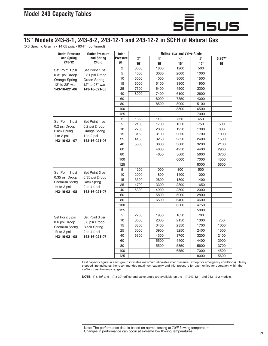

#### **⁄4" Models 243-8-1, 243-8-2, 243-12-1 and 243-12-2 in SCFH of Natural Gas**

(0.6 Specific Gravity - 14.65 psia - 60ºF) (continued)

| <b>Outlet Pressure</b>               | <b>Outlet Pressure</b>                       | Inlet           |                     | <b>Orifice Size and Valve Angle</b> |              |                 |              |  |  |  |
|--------------------------------------|----------------------------------------------|-----------------|---------------------|-------------------------------------|--------------|-----------------|--------------|--|--|--|
| and Spring                           | and Spring                                   | <b>Pressure</b> | $3/3$ <sup>33</sup> | 1/3                                 | 3/8"         | $\frac{1}{4}$ " | 0.207"       |  |  |  |
| 243-12                               | $243 - 8$                                    | psi             | $10^{\circ}$        | $10^{\circ}$                        | $10^{\circ}$ | $10^{\circ}$    | $10^{\circ}$ |  |  |  |
| Set Point 1 psi                      | Set Point 1 psi                              | $\overline{c}$  | 3000                | 1800                                | 1200         | 500             |              |  |  |  |
| 0.31 psi Droop                       | 0.31 psi Droop                               | 5               | 4000                | 3000                                | 2000         | 1000            |              |  |  |  |
| Orange Spring                        | Green Spring                                 | 10              | 5000                | 4000                                | 3000         | 1500            |              |  |  |  |
| 12" to 28" w.c.                      | 12" to 28" w.c.                              | 15              | 6000                | 5100                                | 3900         | 1900            |              |  |  |  |
| 143-16-021-06                        | 143-16-021-05                                | 25              | 7500                | 6400                                | 4500         | 2200            |              |  |  |  |
|                                      |                                              | 40              | 8000                | 7400                                | 6100         | 2600            |              |  |  |  |
|                                      |                                              | 60              |                     | 8000                                | 7350         | 4000            |              |  |  |  |
|                                      |                                              | 80              |                     | 8500                                | 8000         | 5100            |              |  |  |  |
|                                      |                                              | 100             |                     |                                     | 8500         | 6500            |              |  |  |  |
|                                      |                                              | 125             |                     |                                     |              | 7000            |              |  |  |  |
|                                      |                                              | 2               | 1850                | 1150                                | 850          | 450             |              |  |  |  |
| Set Point 1 psi                      | Set Point 1 psi                              | 5               | 2100                | 1700                                | 1350         | 750             | 500          |  |  |  |
| 0.2 psi Droop<br><b>Black Spring</b> | 0.2 psi Droop                                | 10              | 2700                | 2000                                | 1950         | 1300            | 800          |  |  |  |
| 1 to 2 psi                           | Orange Spring<br>1 to 2 psi<br>143-16-021-06 |                 | 3150                | 3100                                | 2050         | 1700            | 1000         |  |  |  |
| 143-16-021-07                        |                                              |                 | 4150                | 3250                                | 2850         | 2400            | 1500         |  |  |  |
|                                      |                                              | 40              | 5300                | 3800                                | 3600         | 3200            | 2100         |  |  |  |
|                                      |                                              | 60              |                     | 4600                                | 4250         | 4400            | 2900         |  |  |  |
|                                      |                                              | 80              |                     | 4650                                | 5600         | 5600            | 3700         |  |  |  |
|                                      |                                              | 100             |                     |                                     | 6000         | 7000            | 4500         |  |  |  |
|                                      |                                              | 125             |                     |                                     |              | 8000            | 5600         |  |  |  |
|                                      | Set Point 3 psi                              | 5               | 1200                | 1000                                | 800          | 500             |              |  |  |  |
| Set Point 3 psi<br>0.35 psi Droop    | 0.35 psi Droop                               | 10              | 2000                | 1800                                | 1400         | 1000            |              |  |  |  |
| Cadmium Spring                       | <b>Black Spring</b>                          | 15              | 3300                | 2800                                | 1800         | 1400            |              |  |  |  |
| 1½ to 3 psi                          | 2 to $4\%$ psi                               | 25              | 4700                | 3300                                | 2300         | 1650            |              |  |  |  |
| 143-16-021-08                        | 143-16-021-07                                | 40              | 6300                | 4900                                | 2800         | 2000            |              |  |  |  |
|                                      |                                              | 60              |                     | 5800                                | 5000         | 2800            |              |  |  |  |
|                                      |                                              | 80              |                     | 6500                                | 6400         | 4600            |              |  |  |  |
|                                      |                                              | 100             |                     |                                     | 6500         | 4750            |              |  |  |  |
|                                      |                                              | 125             |                     |                                     |              | 5000            |              |  |  |  |
| Set Point 3 psi                      | Set Point 3 psi                              | 5               | 2200                | 1950                                | 1650         | 700             |              |  |  |  |
| 0.6 psi Droop                        | 0.6 psi Droop                                | 10              | 3600                | 2300                                | 2150         | 1300            | 750          |  |  |  |
| Cadmium Spring                       | <b>Black Spring</b>                          | 15              | 3800                | 3400                                | 2350         | 1700            | 1000         |  |  |  |
| $1\%$ to 3 psi                       | 2 to $4\%$ psi                               | 25              | 5000                | 3900                                | 3250         | 2400            | 1500         |  |  |  |
| 143-16-021-08                        | 143-16-021-07                                | 40              | 6300                | 4300                                | 3700         | 3200            | 2100         |  |  |  |
|                                      |                                              | 60              |                     | 5500                                | 4400         | 4400            | 2900         |  |  |  |
|                                      |                                              | 80              |                     | 5500                                | 5850         | 5600            | 3700         |  |  |  |
|                                      |                                              | 100             |                     |                                     | 6550         | 7000            | 4500         |  |  |  |
|                                      |                                              | 125             |                     |                                     |              | 8000            | 5600         |  |  |  |

Last capacity figure in each group indicates maximum allowable inlet pressure (except for emergency conditions). Heavy stepped line indicates the recommended maximum capacity and inlet pressure for each orifice for operation within the optimum performance range.

**NOTE:** 1" x 30<sup>o</sup> and 1¼" x 30<sup>o</sup> orifice and valve angle are available on the 1¼" 243-12-1 and 243-12-2 models.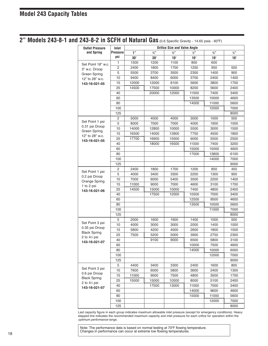**2" Models 243-8-1 and 243-8-2 in SCFH of Natural Gas** (0.6 Specific Gravity - 14.65 psia - 60ºF)

| <b>Outlet Pressure</b>               | <b>Orifice Size and Valve Angle</b><br>Inlet |            |            |            |                 |              |                 |
|--------------------------------------|----------------------------------------------|------------|------------|------------|-----------------|--------------|-----------------|
| and Spring                           | <b>Pressure</b>                              | 1"         | 3/3        | 3/3        | $\frac{1}{2}$ " | 3/8"         | $\frac{1}{4}$ " |
|                                      | psi                                          | $30^\circ$ | $30^\circ$ | $10^\circ$ | $10^{\circ}$    | $10^{\circ}$ | $10^{\circ}$    |
|                                      | 1                                            | 1500       | 1200       | 1100       | 800             | 600          |                 |
| Set Point 18" w.c.                   | 2                                            | 2400       | 1800       | 1700       | 1250            | 950          | 500             |
| 3" w.c. Droop<br><b>Green Spring</b> | 5                                            | 5500       | 3700       | 3500       | 2300            | 1400         | 900             |
| 12" to 28" w.c.                      | 10                                           | 9400       | 8400       | 6000       | 3700            | 2400         | 1400            |
| 143-16-021-05                        | 15                                           | 12000      | 12000      | 8100       | 5600            | 3800         | 1700            |
|                                      | 25                                           | 14500      | 17500      | 10000      | 8200            | 5600         | 2400            |
|                                      | 40                                           |            | 20000      | 12000      | 11500           | 7400         | 3400            |
|                                      | 60                                           |            |            |            | 13500           | 10000        | 4600            |
|                                      | 80                                           |            |            |            | 14000           | 11000        | 5600            |
|                                      | 100                                          |            |            |            |                 | 12000        | 7000            |
|                                      | 125                                          |            |            |            |                 |              | 8000            |
|                                      | 2                                            | 5000       | 4000       | 4000       | 3000            | 1000         | 500             |
| Set Point 1 psi                      | 5                                            | 8000       | 7000       | 7000       | 4000            | 1900         | 1000            |
| 0.31 psi Droop                       | 10                                           | 14000      | 12800      | 10000      | 5500            | 3000         | 1500            |
| Green Spring                         | 15                                           | 16500      | 14000      | 13900      | 7750            | 4500         | 1800            |
| 12" to 28" w.c.                      | 25                                           | 17700      | 16900      | 15000      | 9000            | 5500         | 2500            |
| 143-16-021-05                        | 40                                           |            | 18000      | 16500      | 11500           | 7400         | 3200            |
|                                      | 60                                           |            |            |            | 15000           | 10000        | 4600            |
|                                      | 80                                           |            |            |            | 17000           | 13800        | 6100            |
|                                      | 100                                          |            |            |            |                 | 14000        | 7000            |
|                                      | 125                                          |            |            |            |                 |              | 9000            |
|                                      | 2                                            | 2400       | 1800       | 1700       | 1200            | 850          | 450             |
| Set Point 1 psi                      | 5                                            | 4000       | 3400       | 3300       | 2200            | 1300         | 900             |
| 0.2 psi Droop                        | 10                                           | 7000       | 6000       | 5400       | 3500            | 2200         | 1400            |
| Orange Spring                        | 15                                           | 11000      | 9000       | 7000       | 4600            | 3100         | 1700            |
| 1 to 2 psi<br>143-16-021-06          | 25                                           | 14500      | 15000      | 10000      | 7400            | 4800         | 2400            |
|                                      | 40                                           |            | 17500      | 12000      | 10500           | 7000         | 3400            |
|                                      | 60                                           |            |            |            | 12500           | 9500         | 4600            |
|                                      | 80                                           |            |            |            | 13500           | 10500        | 5600            |
|                                      | 100                                          |            |            |            |                 | 11000        | 7000            |
|                                      | 125                                          |            |            |            |                 |              | 8000            |
|                                      | 5                                            | 2000       | 1600       | 1600       | 1400            | 1000         | 500             |
| Set Point 3 psi                      | 10                                           | 4000       | 3000       | 3000       | 2000            | 1400         | 1000            |
| 0.35 psi Droop                       | 15                                           | 5800       | 4200       | 4000       | 2600            | 1800         | 1500            |
| <b>Black Spring</b>                  | 25                                           | 7500       | 5200       | 5000       | 3900            | 2750         | 2300            |
| 2 to $4\frac{1}{4}$ psi              | 40                                           |            | 9100       | 9000       | 6500            | 5800         | 3100            |
| 143-16-021-07                        | 60                                           |            |            |            | 10000           | 7500         | 4600            |
|                                      | 80                                           |            |            |            | 14000           | 10000        | 6000            |
|                                      | 100                                          |            |            |            |                 | 12000        | 7000            |
|                                      | 125                                          |            |            |            |                 |              | 9000            |
|                                      | 5                                            | 4400       | 3400       | 3300       | 2400            | 1600         | 800             |
| Set Point 3 psi                      | 10                                           | 7600       | 6000       | 5800       | 3600            | 2400         | 1300            |
| 0.6 psi Droop                        | 15                                           | 11000      | 9000       | 7500       | 4800            | 3500         | 1700            |
| <b>Black Spring</b>                  | 25                                           | 15000      | 15000      | 10500      | 8000            | 5100         | 2400            |
| 2 to $4\%$ psi<br>143-16-021-07      | 40                                           |            | 17500      | 13000      | 11000           | 7000         | 3400            |
|                                      | 60                                           |            |            |            | 14000           | 9600         | 4600            |
|                                      | 80                                           |            |            |            | 15000           | 11000        | 5600            |
|                                      | 100                                          |            |            |            |                 | 12000        | 7000            |
|                                      | 125                                          |            |            |            |                 |              | 8000            |

Last capacity figure in each group indicates maximum allowable inlet pressure (except for emergency conditions). Heavy stepped line indicates the recommended maximum capacity and inlet pressure for each orifice for operation within the optimum performance range.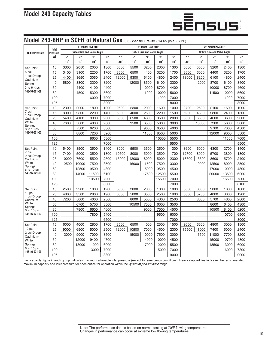

## **Model 243-8HP in SCFH of Natural Gas** (0.6 Specific Gravity - 14.65 psia - 60ºF)

| 1%" Model 243-8HP                           |     | 1%" Model 243-8HP                   |               |                             |               | 2" Model 243-8HP                    |                             |               |                             |                                     |            |                             |               |              |                             |
|---------------------------------------------|-----|-------------------------------------|---------------|-----------------------------|---------------|-------------------------------------|-----------------------------|---------------|-----------------------------|-------------------------------------|------------|-----------------------------|---------------|--------------|-----------------------------|
| Inlet<br><b>Outlet Pressure</b><br>Pressure |     | <b>Orifice Size and Valve Angle</b> |               |                             |               | <b>Orifice Size and Valve Angle</b> |                             |               |                             | <b>Orifice Size and Valve Angle</b> |            |                             |               |              |                             |
|                                             | psi | $\frac{3}{4}$ <sup>33</sup>         | $\frac{1}{2}$ | $\frac{3}{8}$ <sup>33</sup> | $\frac{1}{4}$ | 1"                                  | $\frac{3}{4}$ <sup>33</sup> | $\frac{1}{2}$ | $\frac{3}{2}$ <sup>33</sup> | $\frac{1}{4}$ <sup>33</sup>         | 1"         | $\frac{3}{4}$ <sup>33</sup> | $\frac{1}{2}$ | 36"          | $\frac{1}{4}$ <sup>33</sup> |
|                                             |     | $10^{\circ}$                        | $10^{\circ}$  | $10^{\circ}$                | $10^{\circ}$  | $30^\circ$                          | $10^{\circ}$                | $10^{\circ}$  | $10^{\circ}$                | $10^{\circ}$                        | $30^\circ$ | $10^{\circ}$                | $10^{\circ}$  | $10^{\circ}$ | $10^{\circ}$                |
| <b>Set Point</b>                            | 10  | 3300                                | 2050          | 2000                        | 1300          | 6000                                | 5500                        | 3200          | 2300                        | 1300                                | 6000       | 5500                        | 3200          | 2400         | 1300                        |
| 5 psi                                       | 15  | 3400                                | 3100          | 2200                        | 1700          | 8600                                | 6500                        | 4400          | 3200                        | 1700                                | 8600       | 6000                        | 4400          | 3200         | 1700                        |
| 1 psi Droop<br>Cadmium                      | 25  | 4400                                | 3650          | 3050                        | 2400          | 12000                               | 9300                        | 6100          | 4800                        | 2400                                | 13000      | 8200                        | 6100          | 4800         | 2400                        |
| Spring                                      | 40  | 5800                                | 3800          | 3200                        | 3200          |                                     | 12000                       | 8500          | 6100                        | 3200                                |            | 12000                       | 8700          | 6100         | 3400                        |
| 3 to 6 $%$ psi                              | 60  |                                     | 4400          | 4100                        | 4400          |                                     |                             | 10000         | 8700                        | 4400                                |            |                             | 10000         | 8700         | 4600                        |
| 143-16-021-08                               | 80  |                                     | 4500          | 5300                        | 5600          |                                     |                             | 11000         | 10000                       | 5600                                |            |                             | 11500         | 10000        | 5600                        |
|                                             | 100 |                                     |               | 6000                        | 7000          |                                     |                             |               | 11000                       | 7000                                |            |                             |               | 11000        | 7000                        |
|                                             | 125 |                                     |               |                             | 8000          |                                     |                             |               |                             | 8000                                |            |                             |               |              | 8000                        |
| Set Point                                   | 10  | 2300                                | 2000          | 1800                        | 1000          | 2500                                | 2300                        | 2000          | 1600                        | 1000                                | 2700       | 2500                        | 2100          | 1600         | 1000                        |
| 7 psi<br>1 psi Droop                        | 15  | 3000                                | 2800          | 2200                        | 1400          | 5000                                | 4000                        | 2500          | 2200                        | 1500                                | 5900       | 4300                        | 2800          | 2400         | 1500                        |
| Cadmium-                                    | 25  | 5400                                | 4100          | 3300                        | 2000          | 8500                                | 6500                        | 4300          | 3500                        | 2000                                | 8600       | 6600                        | 4600          | 3600         | 2000                        |
| White<br>Springs                            | 40  | 7600                                | 5600          | 4800                        | 2800          |                                     | 9500                        | 6500          | 5000                        | 3000                                |            | 10000                       | 7200          | 5600         | 3000                        |
| 6 to 10 psi                                 | 60  |                                     | 7500          | 6200                        | 3800          |                                     |                             | 9000          | 6500                        | 4000                                |            |                             | 9700          | 7000         | 4500                        |
| 143-16-021-03                               | 80  |                                     | 8800          | 7200                        | 5200          |                                     |                             | 11000         | 8500                        | 5000                                |            |                             | 12000         | 9000         | 5500                        |
|                                             | 100 |                                     |               | 8600                        | 5800          |                                     |                             |               | 10500                       | 5500                                |            |                             |               | 11500        | 7000                        |
|                                             | 125 |                                     |               |                             | 7000          |                                     |                             |               |                             | 5500                                |            |                             |               |              | 5500                        |
| Set Point                                   | 10  | 5400                                | 3500          | 2500                        | 1400          | 8000                                | 5500                        | 3500          | 2500                        | 1300                                | 8600       | 6000                        | 4300          | 2700         | 1400                        |
| 7 psi<br>2 psi Droop                        | 15  | 7400                                | 5000          | 3500                        | 1800          | 10500                               | 8000                        | 5000          | 3500                        | 1700                                | 12700      | 8900                        | 5700          | 3800         | 1800                        |
| Cadmium                                     | 25  | 10000                               | 7600          | 5500                        | 2500          | 15000                               | 12000                       | 8000          | 5000                        | 2300                                | 18600      | 13500                       | 8600          | 5700         | 2400                        |
| White<br>Springs                            | 40  | 12500                               | 10000         | 7500                        | 3500          |                                     | 16000                       | 11500         | 7500                        | 3300                                |            | 19000                       | 12500         | 8000         | 3500                        |
| 6 to 10 psi                                 | 60  |                                     | 12500         | 9500                        | 4800          |                                     |                             | 15000         | 9500                        | 4500                                |            |                             | 17000         | 10000        | 4800                        |
| 143-16-021-03                               | 80  |                                     | 14000         | 11500                       | 6100          |                                     |                             | 17500         | 12500                       | 5500                                |            |                             | 20000         | 13500        | 6200                        |
|                                             | 100 |                                     |               | 13500                       | 7200          |                                     |                             |               | 15500                       | 7000                                |            |                             |               | 16500        | 7300                        |
|                                             | 125 |                                     |               |                             | 8800          |                                     |                             |               |                             | 7000                                |            |                             |               |              | 8100                        |
| Set Point                                   | 15  | 2500                                | 2200          | 1800                        | 1200          | 3500                                | 3000                        | 2000          | 1300                        | 1000                                | 3600       | 3000                        | 2000          | 1800         | 1000                        |
| 10 psi<br>1 psi Droop                       | 25  | 4800                                | 3500          | 2800                        | 1900          | 6500                                | 5000                        | 3500          | 2500                        | 1900                                | 6800       | 5700                        | 4000          | 3000         | 1900                        |
| Cadmium-                                    | 40  | 7200                                | 5000          | 4000                        | 2500          |                                     | 8000                        | 5500          | 4300                        | 2500                                |            | 8600                        | 5700          | 4600         | 2800                        |
| White<br>Springs                            | 60  |                                     | 6700          | 5700                        | 3500          |                                     | 10500                       | 7500          | 6000                        | 3500                                |            |                             | 8600          | 6400         | 4300                        |
| 6 to 10 psi                                 | 80  |                                     | 7800          | 6600                        | 4600          |                                     |                             | 9000          | 7500                        | 4500                                |            |                             | 10500         | 8400         | 5200                        |
| 143-16-021-03                               | 100 |                                     |               | 7800                        | 5400          |                                     |                             |               | 9500                        | 6000                                |            |                             |               | 10700        | 6500                        |
|                                             | 125 |                                     |               |                             | 6500          |                                     |                             |               |                             | 7000                                |            |                             |               |              | 8000                        |
| <b>Set Point</b>                            | 15  | 6000                                | 4000          | 2800                        | 1700          | 8500                                | 6500                        | 4000          | 2500                        | 1500                                | 9000       | 6600                        | 4800          | 3000         | 1500                        |
| 10 psi<br>2 psi Droop                       | 25  | 9000                                | 6500          | 5000                        | 2500          | 12000                               | 10500                       | 7000          | 4500                        | 2300                                | 15500      | 11000                       | 7400          | 5000         | 2400                        |
| Cadmium-                                    | 40  | 12000                               | 9000          | 7000                        | 3500          |                                     | 15000                       | 10000         | 7500                        | 3000                                |            | 16500                       | 11000         | 7700         | 3200                        |
| White                                       | 60  |                                     | 12000         | 9400                        | 4700          |                                     |                             | 14000         | 10000                       | 4500                                |            |                             | 15000         | 10700        | 4800                        |
| Springs                                     | 80  |                                     | 13000         | 11000                       | 6000          |                                     |                             | 17000         | 12000                       | 5500                                |            |                             | 18500         | 13000        | 6000                        |
| 6 to 10 psi<br>143-16-021-03                | 100 |                                     |               | 13000                       | 7000          |                                     |                             |               | 15000                       | 7000                                |            |                             |               | 16000        | 7300                        |
|                                             | 125 |                                     |               |                             | 8800          |                                     |                             |               |                             | 9000                                |            |                             |               |              | 9000                        |

Last capacity figure in each group indicates maximum allowable inlet pressure (except for emergency conditions). Heavy stepped line indicates the recommended maximum capacity and inlet pressure for each orifice for operation within the *optimum performance* range.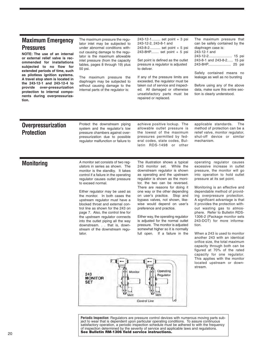#### **Maximum Emergency Pressures**

**NOTE: The use of an internal or external relief valve is recommended for installations subjected to no flow for extended periods of time, such as pilotless ignition systems. A travel stop stem is located in the 243-12-1 and 243-12-4 to provide over-pressurization protection to internal components during overpressurization.**

The maximum pressure the regulator inlet may be subjected to under abnormal conditions without causing damage to the regulator is the maximum allowable inlet pressure (from the capacity tables, pages 8 through 19) plus 50 psi.

The maximum pressure the diaphragm may be subjected to without causing damage to the internal parts of the regulator is:

243-12-1......... set point + 3 psi 243-12-2, 243-8-1 and 243-8-2........... set point + 5 psi 243-8HP........ set point + 5 psi

Set point is defined as the outlet pressure a regulator is adjusted to deliver.

If any of the pressure limits are exceeded, the regulator must be taken out of service and inspected. All damaged or otherwise unsatisfactory parts must be repaired or replaced.

The maximum pressure that can be safely contained by the diaphragm case is: 243-12-1 and 243-12-2........................ 15 psi 243-8-1 and 243-8-2...... 15 psi 243-8HP....................... 25 psi

Safely contained means no leakage as well as no bursting

Before using any of the above data, make sure this entire section is clearly understood.

#### **Overpressurization Protection**

Protect the downstream piping system and the regulator's low pressure chambers against overpressurization due to possible regulator malfunction or failure to

achieve positive lockup. The allowable outlet pressure is the lowest of the maximum pressures permitted by federal codes, state codes, Bulletin RDS-1498 or other

applicable standards. The method of protection can be a relief valve, monitor regulator, shut-off device or similar mechanism.

**Monitoring** A monitor set consists of two regulators in series as shown. The monitor is the standby. It takes control if a failure in the operating regulator causes outlet pressure to exceed normal.

> Either regulator may be used as the monitor. In both cases the upstream regulator must have a blocked throat and external control line as shown for the 243 on page 7. Also, the control line for the upstream regulator connects into the outlet piping all the way downstream. . . that is, downstream of the downstream regulator.

The illustration shows a typical 243 monitor set. While the downstream regulator is shown as operating and the upstream regulator is shown as the monitor, the two can be reversed. There are reasons for doing it one way or the other depending on user's practice. Stop and bypass valves, not shown, likewise would depend on user's preference and practice.

Either way, the operating regulator is adjusted for the normal outlet pressure. The monitor is adjusted somewhat higher so it is normally full open. If a failure in the operating regulator causes excessive increase in outlet pressure, the monitor will go into operation to hold outlet pressure at its set point.

Monitoring is an effective and dependable method of providing overpressure protection. A significant advantage is that it provides the protection without wasting gas to atmosphere. Refer to Bulletin RDS-1306-2 (Package monitor sets 243-DOT) for more information.

When a 243 is used to monitor another 243 with an identical orifice size, the total maximum capacity through both can be figured at 70% of the rated capacity for one regulator. This applies with the monitor located upstream or downstream.



**Periodic Inspection:** Regulators are pressure control devices with numerous moving parts subject to wear that is dependent upon particular operating conditions. To assure continuous satisfactory operation, a periodic inspection schedule must be adhered to with the frequency of inspection determined by the severity of service and applicable laws and regulations. **See Bulletin RM-1306 field service instructions.**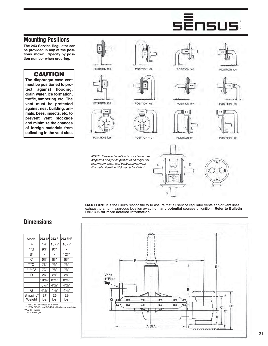#### **Mounting Positions**

**The 243 Service Regulator can be provided in any of the positions shown. Specify by position number when ordering.**

#### **CAUTION**

**The diaphragm case vent must be positioned to protect against flooding, drain water, ice formation, traffic, tampering, etc. The vent must be protected against nest building, animals, bees, insects, etc. to prevent vent blockage and minimize the chances of foreign materials from collecting in the vent side.**



**Dimensions**

| Model               | 243-12               | 243-8           | 243-8HP                    |
|---------------------|----------------------|-----------------|----------------------------|
| A                   | 14"                  | $10\%$          | $10\%$ "                   |
| **B                 | $9\frac{3}{4}$       | $9\frac{3}{4}$  |                            |
| B1                  |                      |                 | $12\frac{3}{4}$            |
| С                   | $5\frac{3}{2}$       | $5\frac{3}{2}$  | $5\frac{1}{4}$             |
| ***C1               | $7\frac{1}{2}$       | $7\frac{1}{2}$  | $7\frac{1}{2}$             |
| ****C <sub>2</sub>  | $7\frac{7}{8}$       | $7\frac{7}{8}$  | $7\frac{7}{8}$             |
| D                   | $2\%$ "              | $2\frac{7}{8}$  | $2\frac{7}{8}$             |
| F                   | $10^{13}/^{2}$       | $8^{19}/^{27}$  | $8^{19}/^{27}$             |
| F                   | $6\frac{1}{32}$ "    | $4^{27}$ /32"   | $4^{27}$ / <sub>32</sub> " |
| G                   | $4^{11}/\frac{3}{2}$ | $4\frac{5}{32}$ | $4\frac{5}{32}$            |
| Shipping*<br>Weight | 27<br>lbs.           | 25<br>lbs.      | 29<br>lbs.                 |

\* Add 9 lbs. for flanges on 2" body \*\* 10" for 243-12-1 and 243-12-4, which include travel stop



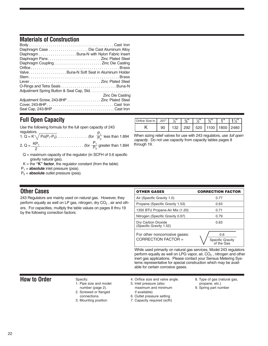#### **Materials of Construction**

| Diaphragm Case Die Cast Aluminum Alloy      |                         |
|---------------------------------------------|-------------------------|
| Diaphragm Buna-N with Nylon Fabric Insert   |                         |
|                                             |                         |
|                                             |                         |
|                                             |                         |
| ValveBuna-N Soft Seat in Aluminum Holder    |                         |
|                                             |                         |
|                                             |                         |
|                                             |                         |
|                                             |                         |
|                                             | <b>Zinc Die Casting</b> |
| Adjustment Screw, 243-8HP Zinc Plated Steel |                         |
|                                             |                         |
| Seal Cap, 243-8HP Cast Iron                 |                         |
|                                             |                         |

## **Full Open Capacity**

| Use the following formula for the full open capacity of 243                         |  |
|-------------------------------------------------------------------------------------|--|
|                                                                                     |  |
| regulators.<br>1. Q = K $\sqrt{Po(P_1-P_0)}$ (for $\frac{P_1}{P_0}$ less than 1.894 |  |
|                                                                                     |  |

- $Q =$  maximum capacity of the regulator (in SCFH of 0.6 specific gravity natural gas).
- $K =$  the "K" **factor**, the regulator constant (from the table)
- P1 = **absolute** inlet pressure (psia).
- P<sub>0</sub> = **absolute** outlet pressure (psia).

#### Orifice Size-in. K .207" 90 | 132 | 292 | 520 | 1100 | 1800 | 2480  $\frac{1}{4}$   $\frac{3}{4}$  $\frac{3}{8}$ "  $\frac{1}{2}$ "  $\frac{3}{4}$ "  $\frac{2}{4}$ " 1" 1 $\frac{1}{4}$ "

#### When sizing relief valves for use with 243 regulators, use full open capacity. Do not use capacity from capacity tables pages 8 through 19.

#### **Other Cases**

243 Regulators are mainly used on natural gas. However, they perform equally as well on LP gas, nitrogen, dry  $CO<sub>2</sub>$ , air and others. For capacities, multiply the table values on pages 8 thru 19 by the following correction factors:

| <b>OTHER GASES</b>                                     | <b>CORRECTION FACTOR</b>              |
|--------------------------------------------------------|---------------------------------------|
| Air (Specific Gravity 1.0)                             | 0.77                                  |
| Propane (Specific Gravity 1.53)                        | 0.63                                  |
| 1350 BTU Propane-Air Mix (1.20)                        | 0.71                                  |
| Nitrogen (Specific Gravity 0.97)                       | 0.79                                  |
| Dry Carbon Dioxide<br>(Specific Gravity 1.52)          | 0.63                                  |
| For other noncorrosive gases:<br>CORRECTION FACTOR $=$ | 0.6<br>Specific Gravity<br>of the Gas |

While used primarily on natural gas services, Model 243 regulators perform equally as well on LPG vapor, air,  $CO<sub>2</sub>$ , nitrogen and other inert gas applications. Please contact your Sensus Metering Systems representative for special construction which may be available for certain corrosive gases.

#### **How to Order** Specify:

1. Pipe size and model

- number (page 2). 2. Screwed or flanged
- connections
- 3. Mounting position
- 4. Orifice size and valve angle. 5. Inlet pressure (also maximum and minimum
- if available) 6. Outlet pressure setting
- 7. Capacity required (scfh)
- 8. Type of gas (natural gas, propane, etc.)
- 9. Spring part number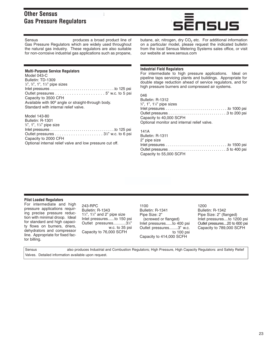#### **Other Sensus Gas Pressure Regulators**



Sensus **Sensus** produces a broad product line of Gas Pressure Regulators which are widely used throughout the natural gas industry. These regulators are also suitable for non-corrosive industrial gas applications such as propane,

#### **Multi-Purpose Service Regulators**

Model 043-C Bulletin: TD-1309 ½", ¾", 1", 1¼" pipe sizes Inlet pressures . . . . . . . . . . . . . . . . . . . . . . . . . . . . . . . . .to 125 psi Outlet pressures . . . . . . . . . . . . . . . . . . . . . 5" w.c. to 5 psi Capacity to 3500 CFH Available with 90º angle or straight-through body. Standard with internal relief valve.

#### Model 143-80

Bulletin: R-1301 3 ⁄4", 1", 11 ⁄4" pipe size Inlet pressures . . . . . . . . . . . . . . . . . . . . . . . . . . . . . . . . .to 125 psi Outlet pressures . . . . . . . . . . . . . . . . . . . . . 31 ⁄2" w.c. to 6 psi Capacity to 2000 CFH Optional internal relief valve and low pressure cut off.

#### butane, air, nitrogen, dry  $CO<sub>2</sub>$  etc. For additional information on a particular model, please request the indicated bulletin from the local Sensus Metering Systems sales office, or visit our website at www.sensus.com

#### **Industrial Field Regulators**

For intermediate to high pressure applications. Ideal on pipeline taps servicing plants and buildings. Appropriate for double stage reduction ahead of service regulators, and for high pressure burners and compressed air systems.

#### 046

| Bulletin: R-1312                            |  |
|---------------------------------------------|--|
| 34", 1", 114" pipe sizes                    |  |
|                                             |  |
|                                             |  |
| Capacity to 40,000 SCFH                     |  |
| Optional monitor and internal relief valve. |  |
| 141A                                        |  |
| Bulletin: R-1311                            |  |
| 2" nine size.                               |  |

| 2" pipe size            |  |
|-------------------------|--|
|                         |  |
|                         |  |
| Capacity to 55,000 SCFH |  |

#### **Pilot Loaded Regulators**

For intermediate and high pressure applications requiring precise pressure reduction with minimal droop. Ideal for standard and high capacity flows on burners, driers, dehydrators and compressor line. Appropriate for fixed factor billing.

243-RPC Bulletin: R-1343  $1\frac{1}{4}$ ,  $1\frac{1}{2}$  and 2" pipe size Inlet pressures......to 150 psi Outlet pressures...........31 ⁄2" w.c. to 35 psi Capacity to 76,000 SCFH

1100 Bulletin: R-1341 Pipe Size: 2" (screwed or flanged) Inlet pressures......to 400 psi Outlet pressures........3" w.c. to 100 psi Capacity to 414,000 SCFH

1200 Bulletin: R-1342 Pipe Size: 2" (flanged) Inlet pressures....to 1200 psi Outlet pressures....20 to 600 psi Capacity to 789,000 SCFH

| Sensus | also produces Industrial and Combustion Regulators; High Pressure, High Capacity Regulators: and Safety Relief |
|--------|----------------------------------------------------------------------------------------------------------------|
|        | Valves. Detailed information available upon request.                                                           |